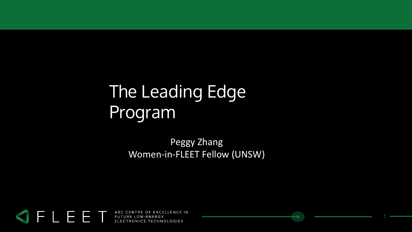### The Leading Edge Program

Peggy Zhang Women-in-FLEET Fellow (UNSW)

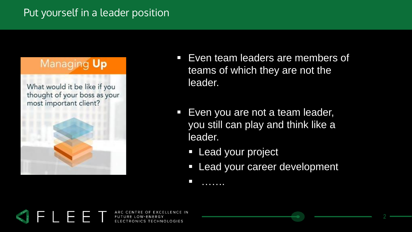### Managing Up

What would it be like if you thought of your boss as your most important client?



- Even team leaders are members of teams of which they are not the leader.
- **Even you are not a team leader,** you still can play and think like a leader.
	- **Lead your project**

■ . . . . . . .

**Example 20 Figure 1** Lead your career development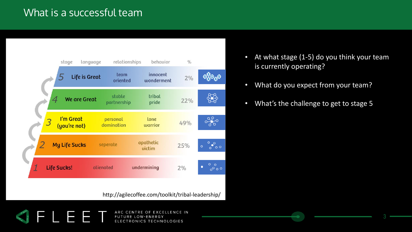### What is a successful team

E T



http://agilecoffee.com/toolkit/tribal-leadership/

- At what stage (1-5) do you think your team is currently operating?
- What do you expect from your team?
- What's the challenge to get to stage 5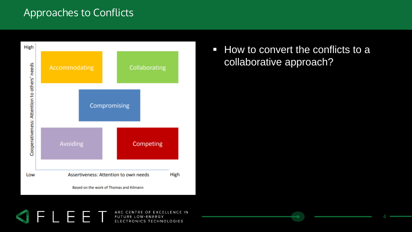### Approaches to Conflicts



ET

E

■ How to convert the conflicts to a collaborative approach?

4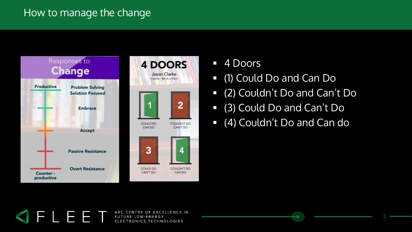### How to manage the change



Jason Clarke Founder - Minds at Work  $\overline{2}$ COULDN'T DO CAN'T DO

COULDN'T DO

CAN DO

- 4 Doors
- (1) Could Do and Can Do
- (2) Couldn't Do and Can't Do
- (3) Could Do and Can't Do
- (4) Couldn't Do and Can do

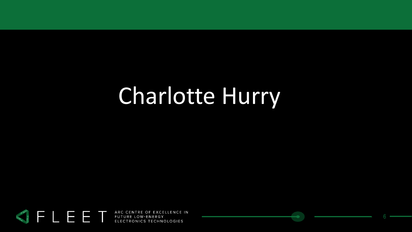## Charlotte Hurry

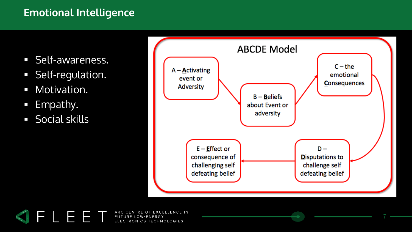### **Emotional Intelligence**

- Self-awareness.
- **E** Self-regulation.
- **■** Motivation.
- **Empathy.**
- Social skills



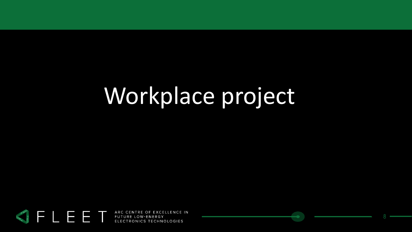### Workplace project

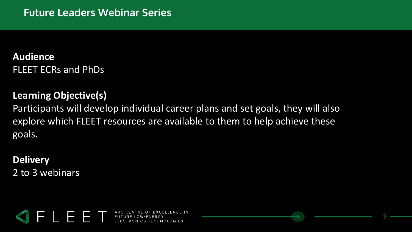### **Audience** FLEET ECRs and PhDs

#### **Learning Objective(s)**

Participants will develop individual career plans and set goals, they will also explore which FLEET resources are available to them to help achieve these goals.

**Delivery** 2 to 3 webinars



ITRE OF EXCELLENCE IN ELECTRONICS TECHNOLOGIES

9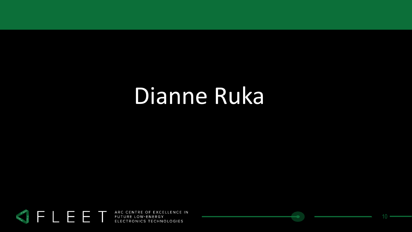### Dianne Ruka

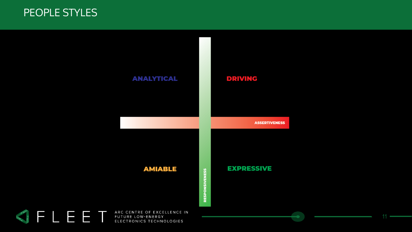#### PEOPLE STYLES

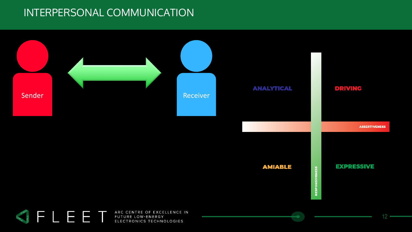### INTERPERSONAL COMMUNICATION

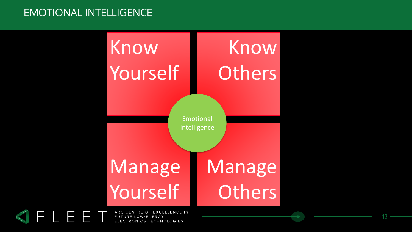### EMOTIONAL INTELLIGENCE

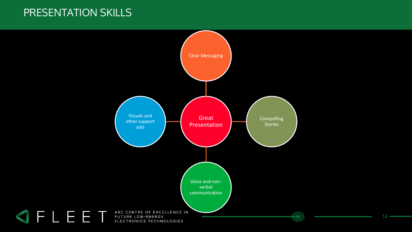#### PRESENTATION SKILLS

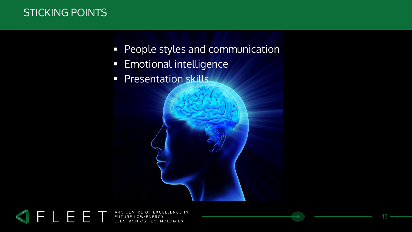### STICKING POINTS

- **People styles and communication**
- **Emotional intelligence**
- **Presentation skills**

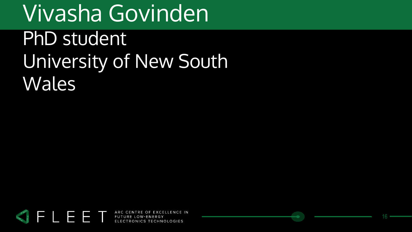### Vivasha Govinden PhD student University of New South Wales

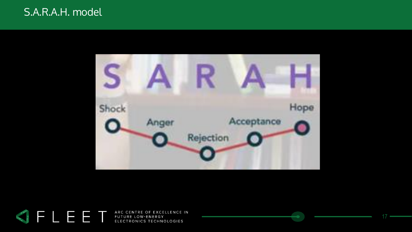#### S.A.R.A.H. model



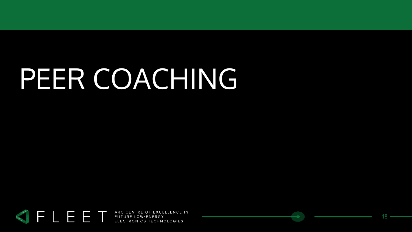# PEER COACHING



18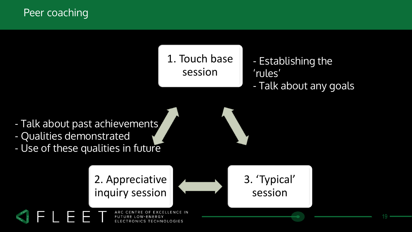Peer coaching

1. Touch base session

- Establishing the 'rules' - Talk about any goals

3. 'Typical'

session

- Talk about past achievements - Qualities demonstrated
- Use of these qualities in future

2. Appreciative inquiry session



19